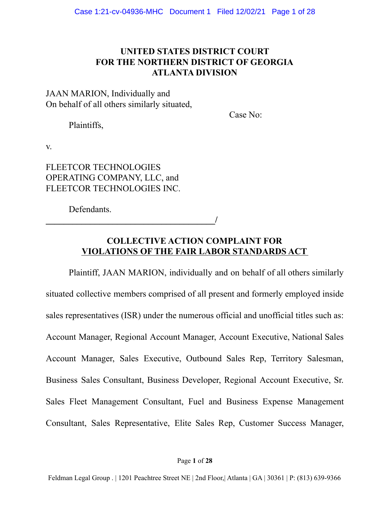# **UNITED STATES DISTRICT COURT FOR THE NORTHERN DISTRICT OF GEORGIA ATLANTA DIVISION**

JAAN MARION, Individually and On behalf of all others similarly situated,

Case No:

Plaintiffs,

v.

# FLEETCOR TECHNOLOGIES OPERATING COMPANY, LLC, and FLEETCOR TECHNOLOGIES INC.

**\_\_\_\_\_\_\_\_\_\_\_\_\_\_\_\_\_\_\_\_\_\_\_\_\_\_\_\_\_\_\_\_\_\_\_\_\_\_/**

Defendants.

# **COLLECTIVE ACTION COMPLAINT FOR VIOLATIONS OF THE FAIR LABOR STANDARDS ACT**

Plaintiff, JAAN MARION, individually and on behalf of all others similarly situated collective members comprised of all present and formerly employed inside sales representatives (ISR) under the numerous official and unofficial titles such as: Account Manager, Regional Account Manager, Account Executive, National Sales Account Manager, Sales Executive, Outbound Sales Rep, Territory Salesman, Business Sales Consultant, Business Developer, Regional Account Executive, Sr. Sales Fleet Management Consultant, Fuel and Business Expense Management Consultant, Sales Representative, Elite Sales Rep, Customer Success Manager,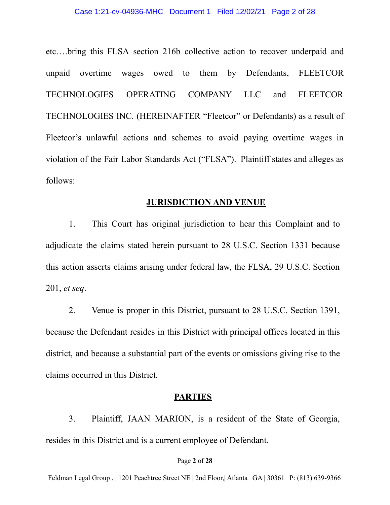etc….bring this FLSA section 216b collective action to recover underpaid and unpaid overtime wages owed to them by Defendants, FLEETCOR TECHNOLOGIES OPERATING COMPANY LLC and FLEETCOR TECHNOLOGIES INC. (HEREINAFTER "Fleetcor" or Defendants) as a result of Fleetcor's unlawful actions and schemes to avoid paying overtime wages in violation of the Fair Labor Standards Act ("FLSA"). Plaintiff states and alleges as follows:

## **JURISDICTION AND VENUE**

1. This Court has original jurisdiction to hear this Complaint and to adjudicate the claims stated herein pursuant to 28 U.S.C. Section 1331 because this action asserts claims arising under federal law, the FLSA, 29 U.S.C. Section 201, *et seq*.

2. Venue is proper in this District, pursuant to 28 U.S.C. Section 1391, because the Defendant resides in this District with principal offices located in this district, and because a substantial part of the events or omissions giving rise to the claims occurred in this District.

## **PARTIES**

3. Plaintiff, JAAN MARION, is a resident of the State of Georgia, resides in this District and is a current employee of Defendant.

#### Page **2** of **28**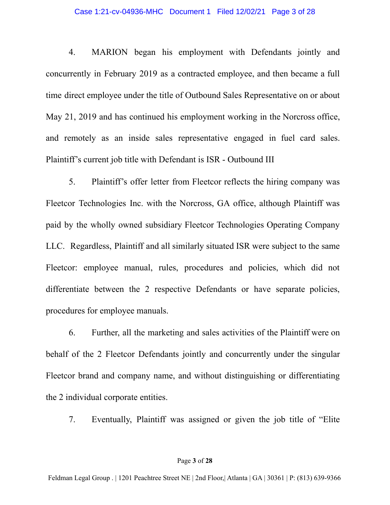#### Case 1:21-cv-04936-MHC Document 1 Filed 12/02/21 Page 3 of 28

4. MARION began his employment with Defendants jointly and concurrently in February 2019 as a contracted employee, and then became a full time direct employee under the title of Outbound Sales Representative on or about May 21, 2019 and has continued his employment working in the Norcross office, and remotely as an inside sales representative engaged in fuel card sales. Plaintiff's current job title with Defendant is ISR - Outbound III

5. Plaintiff's offer letter from Fleetcor reflects the hiring company was Fleetcor Technologies Inc. with the Norcross, GA office, although Plaintiff was paid by the wholly owned subsidiary Fleetcor Technologies Operating Company LLC. Regardless, Plaintiff and all similarly situated ISR were subject to the same Fleetcor: employee manual, rules, procedures and policies, which did not differentiate between the 2 respective Defendants or have separate policies, procedures for employee manuals.

6. Further, all the marketing and sales activities of the Plaintiff were on behalf of the 2 Fleetcor Defendants jointly and concurrently under the singular Fleetcor brand and company name, and without distinguishing or differentiating the 2 individual corporate entities.

7. Eventually, Plaintiff was assigned or given the job title of "Elite

#### Page **3** of **28**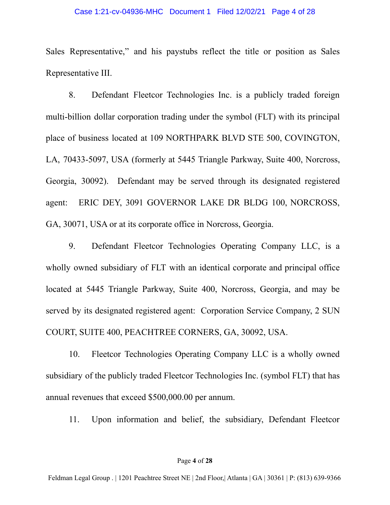#### Case 1:21-cv-04936-MHC Document 1 Filed 12/02/21 Page 4 of 28

Sales Representative," and his paystubs reflect the title or position as Sales Representative III.

8. Defendant Fleetcor Technologies Inc. is a publicly traded foreign multi-billion dollar corporation trading under the symbol (FLT) with its principal place of business located at 109 NORTHPARK BLVD STE 500, COVINGTON, LA, 70433-5097, USA (formerly at 5445 Triangle Parkway, Suite 400, Norcross, Georgia, 30092). Defendant may be served through its designated registered agent: ERIC DEY, 3091 GOVERNOR LAKE DR BLDG 100, NORCROSS, GA, 30071, USA or at its corporate office in Norcross, Georgia.

9. Defendant Fleetcor Technologies Operating Company LLC, is a wholly owned subsidiary of FLT with an identical corporate and principal office located at 5445 Triangle Parkway, Suite 400, Norcross, Georgia, and may be served by its designated registered agent: Corporation Service Company, 2 SUN COURT, SUITE 400, PEACHTREE CORNERS, GA, 30092, USA.

10. Fleetcor Technologies Operating Company LLC is a wholly owned subsidiary of the publicly traded Fleetcor Technologies Inc. (symbol FLT) that has annual revenues that exceed \$500,000.00 per annum.

11. Upon information and belief, the subsidiary, Defendant Fleetcor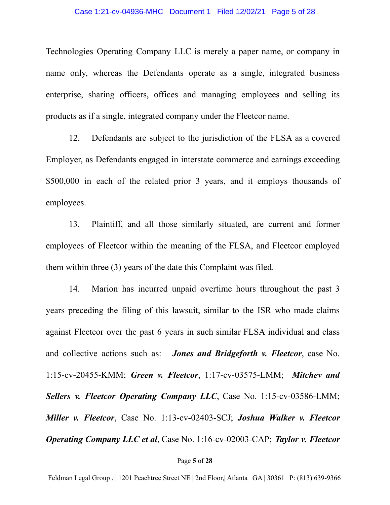Technologies Operating Company LLC is merely a paper name, or company in name only, whereas the Defendants operate as a single, integrated business enterprise, sharing officers, offices and managing employees and selling its products as if a single, integrated company under the Fleetcor name.

12. Defendants are subject to the jurisdiction of the FLSA as a covered Employer, as Defendants engaged in interstate commerce and earnings exceeding \$500,000 in each of the related prior 3 years, and it employs thousands of employees.

13. Plaintiff, and all those similarly situated, are current and former employees of Fleetcor within the meaning of the FLSA, and Fleetcor employed them within three (3) years of the date this Complaint was filed.

14. Marion has incurred unpaid overtime hours throughout the past 3 years preceding the filing of this lawsuit, similar to the ISR who made claims against Fleetcor over the past 6 years in such similar FLSA individual and class and collective actions such as: *Jones and Bridgeforth v. Fleetcor*, case No. 1:15-cv-20455-KMM; *Green v. Fleetcor*, 1:17-cv-03575-LMM; *Mitchev and Sellers v. Fleetcor Operating Company LLC*, Case No. 1:15-cv-03586-LMM; *Miller v. Fleetcor*, Case No. 1:13-cv-02403-SCJ; *Joshua Walker v. Fleetcor Operating Company LLC et al*, Case No. 1:16-cv-02003-CAP; *Taylor v. Fleetcor*

#### Page **5** of **28**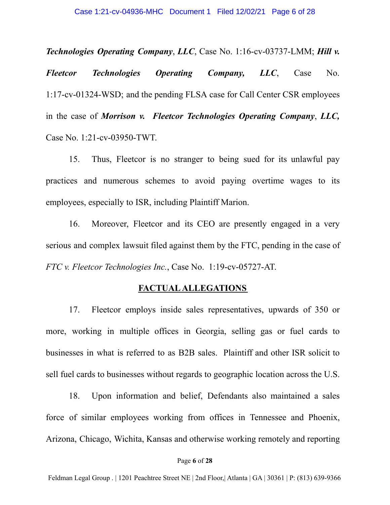*Technologies Operating Company*, *LLC*, Case No. 1:16-cv-03737-LMM; *Hill v.*

*Fleetcor Technologies Operating Company, LLC*, Case No. 1:17-cv-01324-WSD; and the pending FLSA case for Call Center CSR employees in the case of *Morrison v. Fleetcor Technologies Operating Company*, *LLC,* Case No. 1:21-cv-03950-TWT.

15. Thus, Fleetcor is no stranger to being sued for its unlawful pay practices and numerous schemes to avoid paying overtime wages to its employees, especially to ISR, including Plaintiff Marion.

16. Moreover, Fleetcor and its CEO are presently engaged in a very serious and complex lawsuit filed against them by the FTC, pending in the case of *FTC v. Fleetcor Technologies Inc.*, Case No. 1:19-cv-05727-AT.

### **FACTUALALLEGATIONS**

17. Fleetcor employs inside sales representatives, upwards of 350 or more, working in multiple offices in Georgia, selling gas or fuel cards to businesses in what is referred to as B2B sales. Plaintiff and other ISR solicit to sell fuel cards to businesses without regards to geographic location across the U.S.

18. Upon information and belief, Defendants also maintained a sales force of similar employees working from offices in Tennessee and Phoenix, Arizona, Chicago, Wichita, Kansas and otherwise working remotely and reporting

#### Page **6** of **28**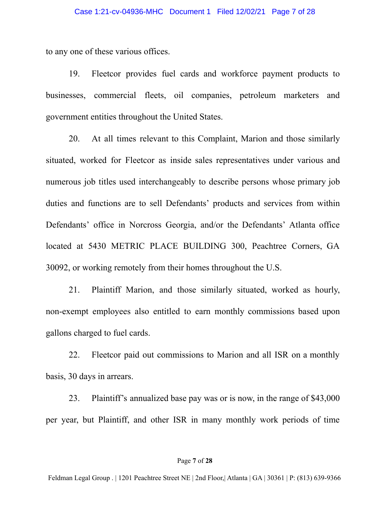to any one of these various offices.

19. Fleetcor provides fuel cards and workforce payment products to businesses, commercial fleets, oil companies, petroleum marketers and government entities throughout the United States.

20. At all times relevant to this Complaint, Marion and those similarly situated, worked for Fleetcor as inside sales representatives under various and numerous job titles used interchangeably to describe persons whose primary job duties and functions are to sell Defendants' products and services from within Defendants' office in Norcross Georgia, and/or the Defendants' Atlanta office located at 5430 METRIC PLACE BUILDING 300, Peachtree Corners, GA 30092, or working remotely from their homes throughout the U.S.

21. Plaintiff Marion, and those similarly situated, worked as hourly, non-exempt employees also entitled to earn monthly commissions based upon gallons charged to fuel cards.

22. Fleetcor paid out commissions to Marion and all ISR on a monthly basis, 30 days in arrears.

23. Plaintiff's annualized base pay was or is now, in the range of \$43,000 per year, but Plaintiff, and other ISR in many monthly work periods of time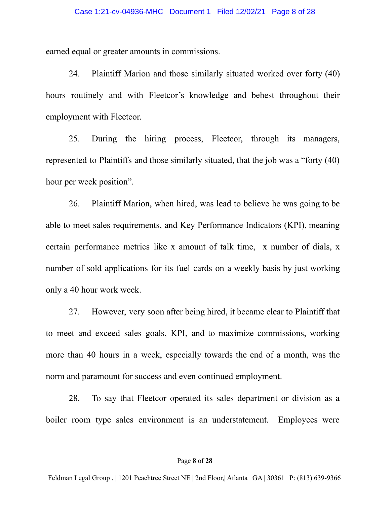earned equal or greater amounts in commissions.

24. Plaintiff Marion and those similarly situated worked over forty (40) hours routinely and with Fleetcor's knowledge and behest throughout their employment with Fleetcor.

25. During the hiring process, Fleetcor, through its managers, represented to Plaintiffs and those similarly situated, that the job was a "forty (40) hour per week position".

26. Plaintiff Marion, when hired, was lead to believe he was going to be able to meet sales requirements, and Key Performance Indicators (KPI), meaning certain performance metrics like x amount of talk time, x number of dials, x number of sold applications for its fuel cards on a weekly basis by just working only a 40 hour work week.

27. However, very soon after being hired, it became clear to Plaintiff that to meet and exceed sales goals, KPI, and to maximize commissions, working more than 40 hours in a week, especially towards the end of a month, was the norm and paramount for success and even continued employment.

28. To say that Fleetcor operated its sales department or division as a boiler room type sales environment is an understatement. Employees were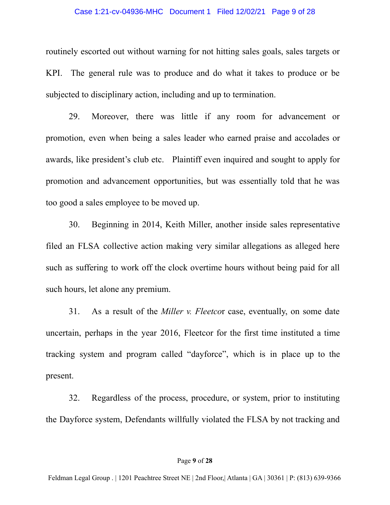#### Case 1:21-cv-04936-MHC Document 1 Filed 12/02/21 Page 9 of 28

routinely escorted out without warning for not hitting sales goals, sales targets or KPI. The general rule was to produce and do what it takes to produce or be subjected to disciplinary action, including and up to termination.

29. Moreover, there was little if any room for advancement or promotion, even when being a sales leader who earned praise and accolades or awards, like president's club etc. Plaintiff even inquired and sought to apply for promotion and advancement opportunities, but was essentially told that he was too good a sales employee to be moved up.

30. Beginning in 2014, Keith Miller, another inside sales representative filed an FLSA collective action making very similar allegations as alleged here such as suffering to work off the clock overtime hours without being paid for all such hours, let alone any premium.

31. As a result of the *Miller v. Fleetco*r case, eventually, on some date uncertain, perhaps in the year 2016, Fleetcor for the first time instituted a time tracking system and program called "dayforce", which is in place up to the present.

32. Regardless of the process, procedure, or system, prior to instituting the Dayforce system, Defendants willfully violated the FLSA by not tracking and

#### Page **9** of **28**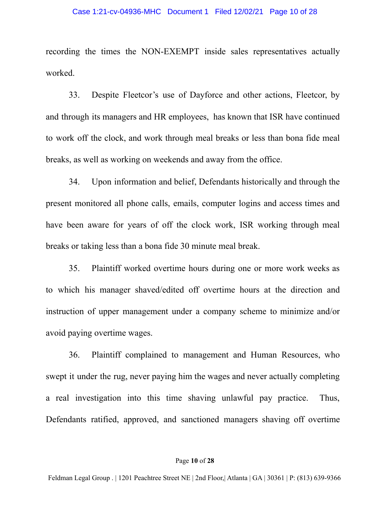#### Case 1:21-cv-04936-MHC Document 1 Filed 12/02/21 Page 10 of 28

recording the times the NON-EXEMPT inside sales representatives actually worked.

33. Despite Fleetcor's use of Dayforce and other actions, Fleetcor, by and through its managers and HR employees, has known that ISR have continued to work off the clock, and work through meal breaks or less than bona fide meal breaks, as well as working on weekends and away from the office.

34. Upon information and belief, Defendants historically and through the present monitored all phone calls, emails, computer logins and access times and have been aware for years of off the clock work, ISR working through meal breaks or taking less than a bona fide 30 minute meal break.

35. Plaintiff worked overtime hours during one or more work weeks as to which his manager shaved/edited off overtime hours at the direction and instruction of upper management under a company scheme to minimize and/or avoid paying overtime wages.

36. Plaintiff complained to management and Human Resources, who swept it under the rug, never paying him the wages and never actually completing a real investigation into this time shaving unlawful pay practice. Thus, Defendants ratified, approved, and sanctioned managers shaving off overtime

#### Page **10** of **28**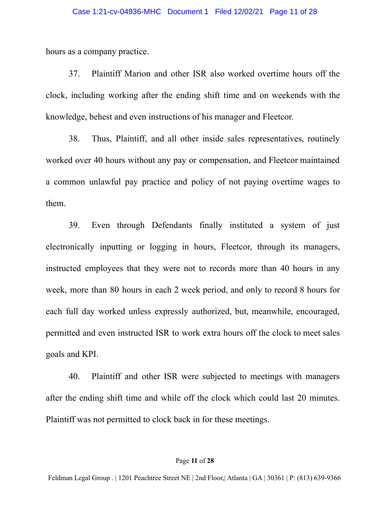hours as a company practice.

37. Plaintiff Marion and other ISR also worked overtime hours off the clock, including working after the ending shift time and on weekends with the knowledge, behest and even instructions of his manager and Fleetcor.

38. Thus, Plaintiff, and all other inside sales representatives, routinely worked over 40 hours without any pay or compensation, and Fleetcor maintained a common unlawful pay practice and policy of not paying overtime wages to them.

39. Even through Defendants finally instituted a system of just electronically inputting or logging in hours, Fleetcor, through its managers, instructed employees that they were not to records more than 40 hours in any week, more than 80 hours in each 2 week period, and only to record 8 hours for each full day worked unless expressly authorized, but, meanwhile, encouraged, permitted and even instructed ISR to work extra hours off the clock to meet sales goals and KPI.

40. Plaintiff and other ISR were subjected to meetings with managers after the ending shift time and while off the clock which could last 20 minutes. Plaintiff was not permitted to clock back in for these meetings.

#### Page **11** of **28**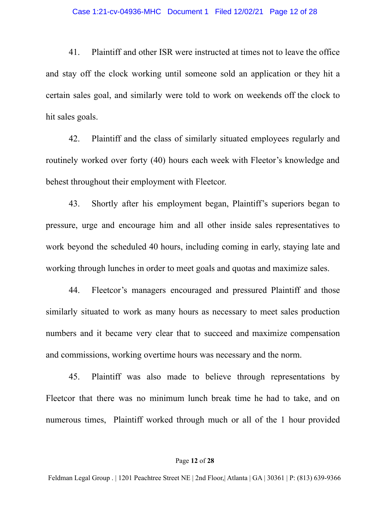41. Plaintiff and other ISR were instructed at times not to leave the office and stay off the clock working until someone sold an application or they hit a certain sales goal, and similarly were told to work on weekends off the clock to hit sales goals.

42. Plaintiff and the class of similarly situated employees regularly and routinely worked over forty (40) hours each week with Fleetor's knowledge and behest throughout their employment with Fleetcor.

43. Shortly after his employment began, Plaintiff's superiors began to pressure, urge and encourage him and all other inside sales representatives to work beyond the scheduled 40 hours, including coming in early, staying late and working through lunches in order to meet goals and quotas and maximize sales.

44. Fleetcor's managers encouraged and pressured Plaintiff and those similarly situated to work as many hours as necessary to meet sales production numbers and it became very clear that to succeed and maximize compensation and commissions, working overtime hours was necessary and the norm.

45. Plaintiff was also made to believe through representations by Fleetcor that there was no minimum lunch break time he had to take, and on numerous times, Plaintiff worked through much or all of the 1 hour provided

#### Page **12** of **28**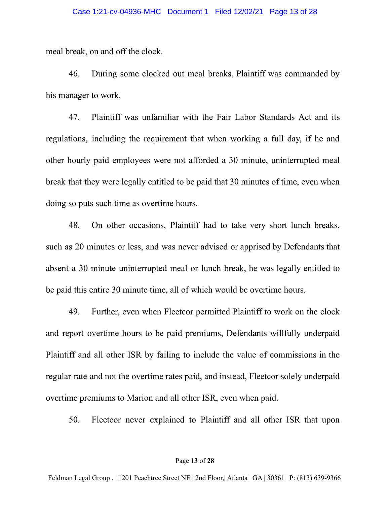meal break, on and off the clock.

46. During some clocked out meal breaks, Plaintiff was commanded by his manager to work.

47. Plaintiff was unfamiliar with the Fair Labor Standards Act and its regulations, including the requirement that when working a full day, if he and other hourly paid employees were not afforded a 30 minute, uninterrupted meal break that they were legally entitled to be paid that 30 minutes of time, even when doing so puts such time as overtime hours.

48. On other occasions, Plaintiff had to take very short lunch breaks, such as 20 minutes or less, and was never advised or apprised by Defendants that absent a 30 minute uninterrupted meal or lunch break, he was legally entitled to be paid this entire 30 minute time, all of which would be overtime hours.

49. Further, even when Fleetcor permitted Plaintiff to work on the clock and report overtime hours to be paid premiums, Defendants willfully underpaid Plaintiff and all other ISR by failing to include the value of commissions in the regular rate and not the overtime rates paid, and instead, Fleetcor solely underpaid overtime premiums to Marion and all other ISR, even when paid.

50. Fleetcor never explained to Plaintiff and all other ISR that upon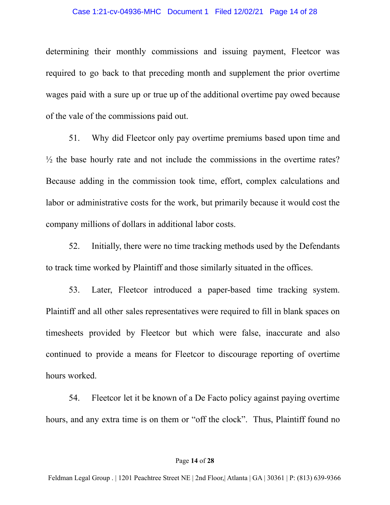#### Case 1:21-cv-04936-MHC Document 1 Filed 12/02/21 Page 14 of 28

determining their monthly commissions and issuing payment, Fleetcor was required to go back to that preceding month and supplement the prior overtime wages paid with a sure up or true up of the additional overtime pay owed because of the vale of the commissions paid out.

51. Why did Fleetcor only pay overtime premiums based upon time and  $\frac{1}{2}$  the base hourly rate and not include the commissions in the overtime rates? Because adding in the commission took time, effort, complex calculations and labor or administrative costs for the work, but primarily because it would cost the company millions of dollars in additional labor costs.

52. Initially, there were no time tracking methods used by the Defendants to track time worked by Plaintiff and those similarly situated in the offices.

53. Later, Fleetcor introduced a paper-based time tracking system. Plaintiff and all other sales representatives were required to fill in blank spaces on timesheets provided by Fleetcor but which were false, inaccurate and also continued to provide a means for Fleetcor to discourage reporting of overtime hours worked.

54. Fleetcor let it be known of a De Facto policy against paying overtime hours, and any extra time is on them or "off the clock". Thus, Plaintiff found no

#### Page **14** of **28**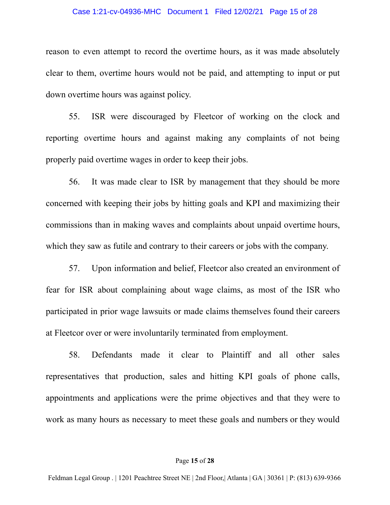#### Case 1:21-cv-04936-MHC Document 1 Filed 12/02/21 Page 15 of 28

reason to even attempt to record the overtime hours, as it was made absolutely clear to them, overtime hours would not be paid, and attempting to input or put down overtime hours was against policy.

55. ISR were discouraged by Fleetcor of working on the clock and reporting overtime hours and against making any complaints of not being properly paid overtime wages in order to keep their jobs.

56. It was made clear to ISR by management that they should be more concerned with keeping their jobs by hitting goals and KPI and maximizing their commissions than in making waves and complaints about unpaid overtime hours, which they saw as futile and contrary to their careers or jobs with the company.

57. Upon information and belief, Fleetcor also created an environment of fear for ISR about complaining about wage claims, as most of the ISR who participated in prior wage lawsuits or made claims themselves found their careers at Fleetcor over or were involuntarily terminated from employment.

58. Defendants made it clear to Plaintiff and all other sales representatives that production, sales and hitting KPI goals of phone calls, appointments and applications were the prime objectives and that they were to work as many hours as necessary to meet these goals and numbers or they would

#### Page **15** of **28**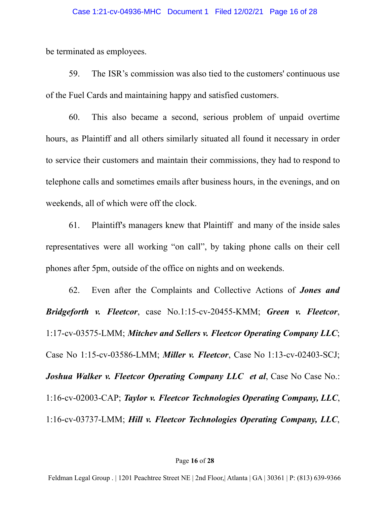be terminated as employees.

59. The ISR's commission was also tied to the customers' continuous use of the Fuel Cards and maintaining happy and satisfied customers.

60. This also became a second, serious problem of unpaid overtime hours, as Plaintiff and all others similarly situated all found it necessary in order to service their customers and maintain their commissions, they had to respond to telephone calls and sometimes emails after business hours, in the evenings, and on weekends, all of which were off the clock.

61. Plaintiff's managers knew that Plaintiff and many of the inside sales representatives were all working "on call", by taking phone calls on their cell phones after 5pm, outside of the office on nights and on weekends.

62. Even after the Complaints and Collective Actions of *Jones and Bridgeforth v. Fleetcor*, case No.1:15-cv-20455-KMM; *Green v. Fleetcor*, 1:17-cv-03575-LMM; *Mitchev and Sellers v. Fleetcor Operating Company LLC*; Case No 1:15-cv-03586-LMM; *Miller v. Fleetcor*, Case No 1:13-cv-02403-SCJ; *Joshua Walker v. Fleetcor Operating Company LLC et al*, Case No Case No.: 1:16-cv-02003-CAP; *Taylor v. Fleetcor Technologies Operating Company, LLC*, 1:16-cv-03737-LMM; *Hill v. Fleetcor Technologies Operating Company, LLC*,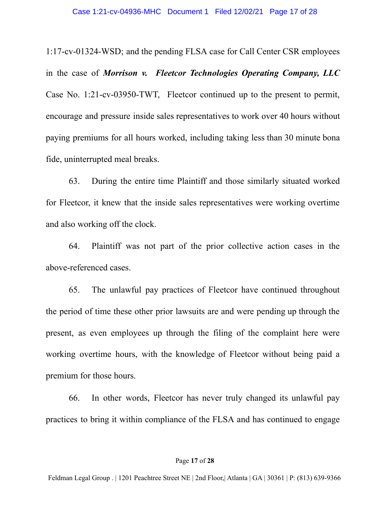1:17-cv-01324-WSD; and the pending FLSA case for Call Center CSR employees in the case of *Morrison v. Fleetcor Technologies Operating Company, LLC* Case No. 1:21-cv-03950-TWT, Fleetcor continued up to the present to permit, encourage and pressure inside sales representatives to work over 40 hours without paying premiums for all hours worked, including taking less than 30 minute bona fide, uninterrupted meal breaks.

63. During the entire time Plaintiff and those similarly situated worked for Fleetcor, it knew that the inside sales representatives were working overtime and also working off the clock.

64. Plaintiff was not part of the prior collective action cases in the above-referenced cases.

65. The unlawful pay practices of Fleetcor have continued throughout the period of time these other prior lawsuits are and were pending up through the present, as even employees up through the filing of the complaint here were working overtime hours, with the knowledge of Fleetcor without being paid a premium for those hours.

66. In other words, Fleetcor has never truly changed its unlawful pay practices to bring it within compliance of the FLSA and has continued to engage

#### Page **17** of **28**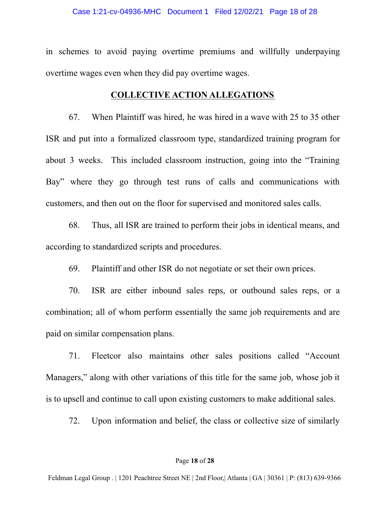in schemes to avoid paying overtime premiums and willfully underpaying overtime wages even when they did pay overtime wages.

## **COLLECTIVE ACTION ALLEGATIONS**

67. When Plaintiff was hired, he was hired in a wave with 25 to 35 other ISR and put into a formalized classroom type, standardized training program for about 3 weeks. This included classroom instruction, going into the "Training Bay" where they go through test runs of calls and communications with customers, and then out on the floor for supervised and monitored sales calls.

68. Thus, all ISR are trained to perform their jobs in identical means, and according to standardized scripts and procedures.

69. Plaintiff and other ISR do not negotiate or set their own prices.

70. ISR are either inbound sales reps, or outbound sales reps, or a combination; all of whom perform essentially the same job requirements and are paid on similar compensation plans.

71. Fleetcor also maintains other sales positions called "Account Managers," along with other variations of this title for the same job, whose job it is to upsell and continue to call upon existing customers to make additional sales.

72. Upon information and belief, the class or collective size of similarly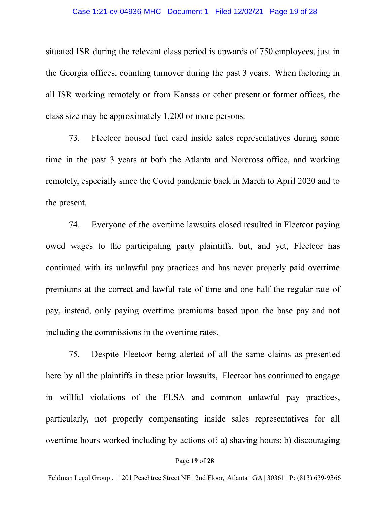#### Case 1:21-cv-04936-MHC Document 1 Filed 12/02/21 Page 19 of 28

situated ISR during the relevant class period is upwards of 750 employees, just in the Georgia offices, counting turnover during the past 3 years. When factoring in all ISR working remotely or from Kansas or other present or former offices, the class size may be approximately 1,200 or more persons.

73. Fleetcor housed fuel card inside sales representatives during some time in the past 3 years at both the Atlanta and Norcross office, and working remotely, especially since the Covid pandemic back in March to April 2020 and to the present.

74. Everyone of the overtime lawsuits closed resulted in Fleetcor paying owed wages to the participating party plaintiffs, but, and yet, Fleetcor has continued with its unlawful pay practices and has never properly paid overtime premiums at the correct and lawful rate of time and one half the regular rate of pay, instead, only paying overtime premiums based upon the base pay and not including the commissions in the overtime rates.

75. Despite Fleetcor being alerted of all the same claims as presented here by all the plaintiffs in these prior lawsuits, Fleetcor has continued to engage in willful violations of the FLSA and common unlawful pay practices, particularly, not properly compensating inside sales representatives for all overtime hours worked including by actions of: a) shaving hours; b) discouraging

#### Page **19** of **28**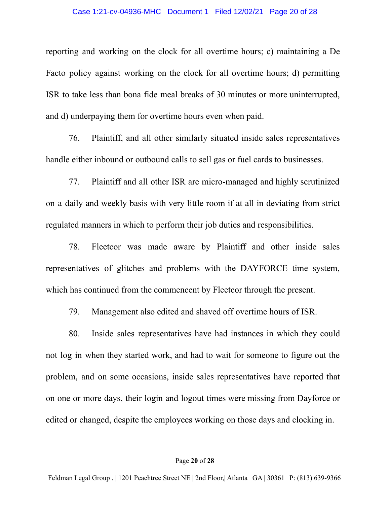#### Case 1:21-cv-04936-MHC Document 1 Filed 12/02/21 Page 20 of 28

reporting and working on the clock for all overtime hours; c) maintaining a De Facto policy against working on the clock for all overtime hours; d) permitting ISR to take less than bona fide meal breaks of 30 minutes or more uninterrupted, and d) underpaying them for overtime hours even when paid.

76. Plaintiff, and all other similarly situated inside sales representatives handle either inbound or outbound calls to sell gas or fuel cards to businesses.

77. Plaintiff and all other ISR are micro-managed and highly scrutinized on a daily and weekly basis with very little room if at all in deviating from strict regulated manners in which to perform their job duties and responsibilities.

78. Fleetcor was made aware by Plaintiff and other inside sales representatives of glitches and problems with the DAYFORCE time system, which has continued from the commencent by Fleetcor through the present.

79. Management also edited and shaved off overtime hours of ISR.

80. Inside sales representatives have had instances in which they could not log in when they started work, and had to wait for someone to figure out the problem, and on some occasions, inside sales representatives have reported that on one or more days, their login and logout times were missing from Dayforce or edited or changed, despite the employees working on those days and clocking in.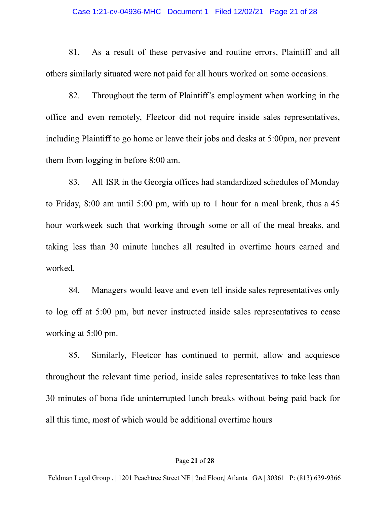#### Case 1:21-cv-04936-MHC Document 1 Filed 12/02/21 Page 21 of 28

81. As a result of these pervasive and routine errors, Plaintiff and all others similarly situated were not paid for all hours worked on some occasions.

82. Throughout the term of Plaintiff's employment when working in the office and even remotely, Fleetcor did not require inside sales representatives, including Plaintiff to go home or leave their jobs and desks at 5:00pm, nor prevent them from logging in before 8:00 am.

83. All ISR in the Georgia offices had standardized schedules of Monday to Friday, 8:00 am until 5:00 pm, with up to 1 hour for a meal break, thus a 45 hour workweek such that working through some or all of the meal breaks, and taking less than 30 minute lunches all resulted in overtime hours earned and worked.

84. Managers would leave and even tell inside sales representatives only to log off at 5:00 pm, but never instructed inside sales representatives to cease working at 5:00 pm.

85. Similarly, Fleetcor has continued to permit, allow and acquiesce throughout the relevant time period, inside sales representatives to take less than 30 minutes of bona fide uninterrupted lunch breaks without being paid back for all this time, most of which would be additional overtime hours

#### Page **21** of **28**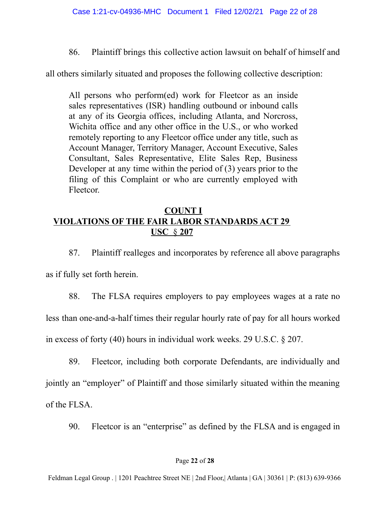86. Plaintiff brings this collective action lawsuit on behalf of himself and

all others similarly situated and proposes the following collective description:

All persons who perform(ed) work for Fleetcor as an inside sales representatives (ISR) handling outbound or inbound calls at any of its Georgia offices, including Atlanta, and Norcross, Wichita office and any other office in the U.S., or who worked remotely reporting to any Fleetcor office under any title, such as Account Manager, Territory Manager, Account Executive, Sales Consultant, Sales Representative, Elite Sales Rep, Business Developer at any time within the period of (3) years prior to the filing of this Complaint or who are currently employed with Fleetcor.

# **COUNT I VIOLATIONS OF THE FAIR LABOR STANDARDS ACT 29 USC** § **207**

87. Plaintiff realleges and incorporates by reference all above paragraphs as if fully set forth herein.

88. The FLSA requires employers to pay employees wages at a rate no less than one-and-a-half times their regular hourly rate of pay for all hours worked in excess of forty (40) hours in individual work weeks. 29 U.S.C. § 207.

89. Fleetcor, including both corporate Defendants, are individually and jointly an "employer" of Plaintiff and those similarly situated within the meaning of the FLSA.

90. Fleetcor is an "enterprise" as defined by the FLSA and is engaged in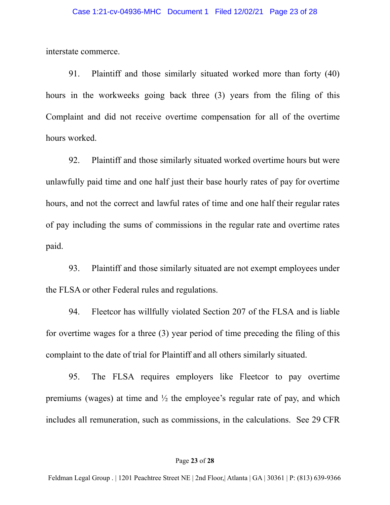interstate commerce.

91. Plaintiff and those similarly situated worked more than forty (40) hours in the workweeks going back three (3) years from the filing of this Complaint and did not receive overtime compensation for all of the overtime hours worked.

92. Plaintiff and those similarly situated worked overtime hours but were unlawfully paid time and one half just their base hourly rates of pay for overtime hours, and not the correct and lawful rates of time and one half their regular rates of pay including the sums of commissions in the regular rate and overtime rates paid.

93. Plaintiff and those similarly situated are not exempt employees under the FLSA or other Federal rules and regulations.

94. Fleetcor has willfully violated Section 207 of the FLSA and is liable for overtime wages for a three (3) year period of time preceding the filing of this complaint to the date of trial for Plaintiff and all others similarly situated.

95. The FLSA requires employers like Fleetcor to pay overtime premiums (wages) at time and ½ the employee's regular rate of pay, and which includes all remuneration, such as commissions, in the calculations. See 29 CFR

#### Page **23** of **28**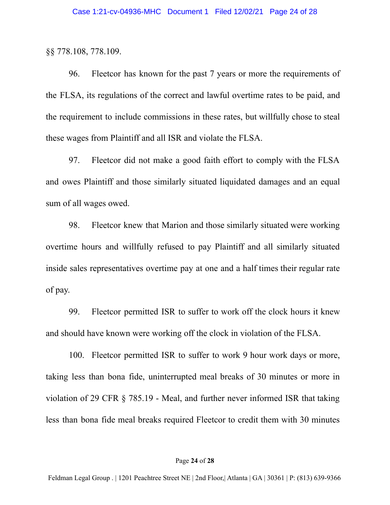§§ 778.108, 778.109.

96. Fleetcor has known for the past 7 years or more the requirements of the FLSA, its regulations of the correct and lawful overtime rates to be paid, and the requirement to include commissions in these rates, but willfully chose to steal these wages from Plaintiff and all ISR and violate the FLSA.

97. Fleetcor did not make a good faith effort to comply with the FLSA and owes Plaintiff and those similarly situated liquidated damages and an equal sum of all wages owed.

98. Fleetcor knew that Marion and those similarly situated were working overtime hours and willfully refused to pay Plaintiff and all similarly situated inside sales representatives overtime pay at one and a half times their regular rate of pay.

99. Fleetcor permitted ISR to suffer to work off the clock hours it knew and should have known were working off the clock in violation of the FLSA.

100. Fleetcor permitted ISR to suffer to work 9 hour work days or more, taking less than bona fide, uninterrupted meal breaks of 30 minutes or more in violation of 29 CFR § 785.19 - Meal, and further never informed ISR that taking less than bona fide meal breaks required Fleetcor to credit them with 30 minutes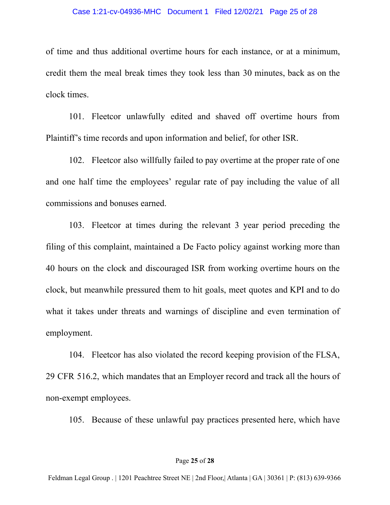of time and thus additional overtime hours for each instance, or at a minimum, credit them the meal break times they took less than 30 minutes, back as on the clock times.

101. Fleetcor unlawfully edited and shaved off overtime hours from Plaintiff's time records and upon information and belief, for other ISR.

102. Fleetcor also willfully failed to pay overtime at the proper rate of one and one half time the employees' regular rate of pay including the value of all commissions and bonuses earned.

103. Fleetcor at times during the relevant 3 year period preceding the filing of this complaint, maintained a De Facto policy against working more than 40 hours on the clock and discouraged ISR from working overtime hours on the clock, but meanwhile pressured them to hit goals, meet quotes and KPI and to do what it takes under threats and warnings of discipline and even termination of employment.

104. Fleetcor has also violated the record keeping provision of the FLSA, 29 CFR 516.2, which mandates that an Employer record and track all the hours of non-exempt employees.

105. Because of these unlawful pay practices presented here, which have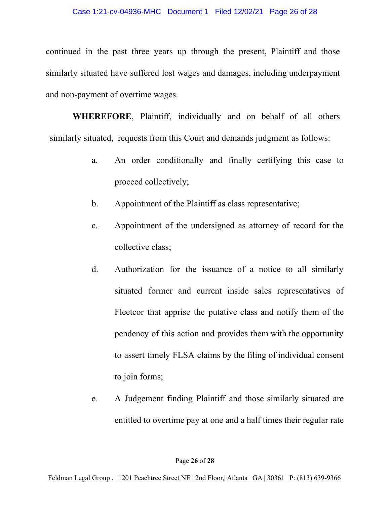continued in the past three years up through the present, Plaintiff and those similarly situated have suffered lost wages and damages, including underpayment and non-payment of overtime wages.

**WHEREFORE**, Plaintiff, individually and on behalf of all others similarly situated, requests from this Court and demands judgment as follows:

- a. An order conditionally and finally certifying this case to proceed collectively;
- b. Appointment of the Plaintiff as class representative;
- c. Appointment of the undersigned as attorney of record for the collective class;
- d. Authorization for the issuance of a notice to all similarly situated former and current inside sales representatives of Fleetcor that apprise the putative class and notify them of the pendency of this action and provides them with the opportunity to assert timely FLSA claims by the filing of individual consent to join forms;
- e. A Judgement finding Plaintiff and those similarly situated are entitled to overtime pay at one and a half times their regular rate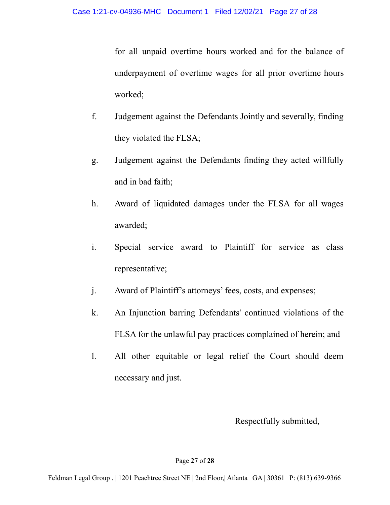for all unpaid overtime hours worked and for the balance of underpayment of overtime wages for all prior overtime hours worked;

- f. Judgement against the Defendants Jointly and severally, finding they violated the FLSA;
- g. Judgement against the Defendants finding they acted willfully and in bad faith;
- h. Award of liquidated damages under the FLSA for all wages awarded;
- i. Special service award to Plaintiff for service as class representative;
- j. Award of Plaintiff's attorneys' fees, costs, and expenses;
- k. An Injunction barring Defendants' continued violations of the FLSA for the unlawful pay practices complained of herein; and
- l. All other equitable or legal relief the Court should deem necessary and just.

Respectfully submitted,